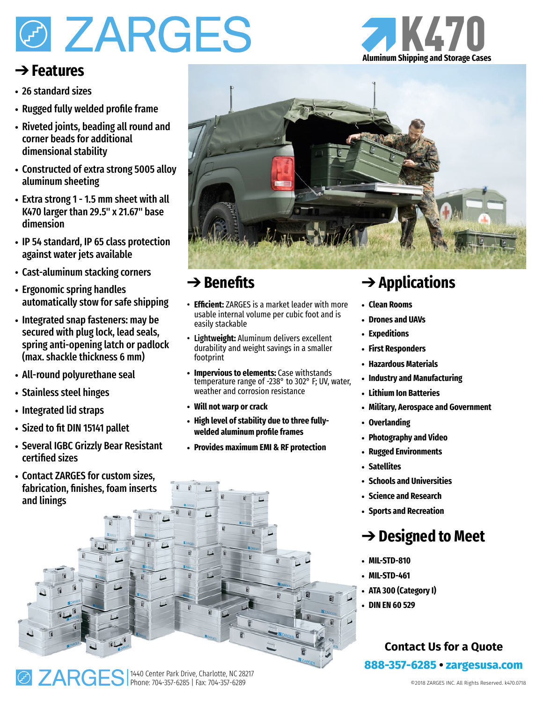# **Ø ZARGES**

#### ➔ **Features**

- 26 standard sizes
- Rugged fully welded profile frame
- Riveted joints, beading all round and corner beads for additional dimensional stability
- Constructed of extra strong 5005 alloy aluminum sheeting
- Extra strong 1 1.5 mm sheet with all K470 larger than 29.5" x 21.67" base dimension
- IP 54 standard, IP 65 class protection against water jets available
- Cast-aluminum stacking corners
- Ergonomic spring handles automatically stow for safe shipping
- Integrated snap fasteners: may be secured with plug lock, lead seals, spring anti-opening latch or padlock (max. shackle thickness 6 mm)
- All-round polyurethane seal
- Stainless steel hinges
- Integrated lid straps
- Sized to fit DIN 15141 pallet
- Several IGBC Grizzly Bear Resistant certified sizes
- Contact ZARGES for custom sizes, fabrication, finishes, foam inserts and linings



#### ➔ **Benefits**

- **Efficient:** ZARGES is a market leader with more usable internal volume per cubic foot and is easily stackable
- Lightw**eight:** Aluminum delivers excellent durability and weight savings in a smaller footprint
- **• Impervious to elements:** Case withstands temperature range of -238° to 302° F; UV, water, weather and corrosion resistance
- **• Will not warp or crack**
- **• High level of stability due to three fullywelded aluminum profile frames**
- **• Provides maximum EMI & RF protection**

## ➔ **Applications**

- **• Clean Rooms**
- **• Drones and UAVs**
- **• Expeditions**
- **• First Responders**
- **• Hazardous Materials**
- **• Industry and Manufacturing**
- **• Lithium Ion Batteries**
- **• Military, Aerospace and Government**
- **• Overlanding**
- **• Photography and Video**
- **• Rugged Environments**
- **• Satellites**
- **• Schools and Universities**
- **• Science and Research**
- **• Sports and Recreation**

### ➔ **Designed to Meet**

- **• MIL-STD-810**
- **• MIL-STD-461**
- **• ATA 300 (Category I)**
- **• DIN EN 60 529**

#### **Contact Us for a Quote 888-357-6285 • [zargesusa.com](http://www.zargesusa.com)**





K470 **Aluminum Shipping and Storage Cases**